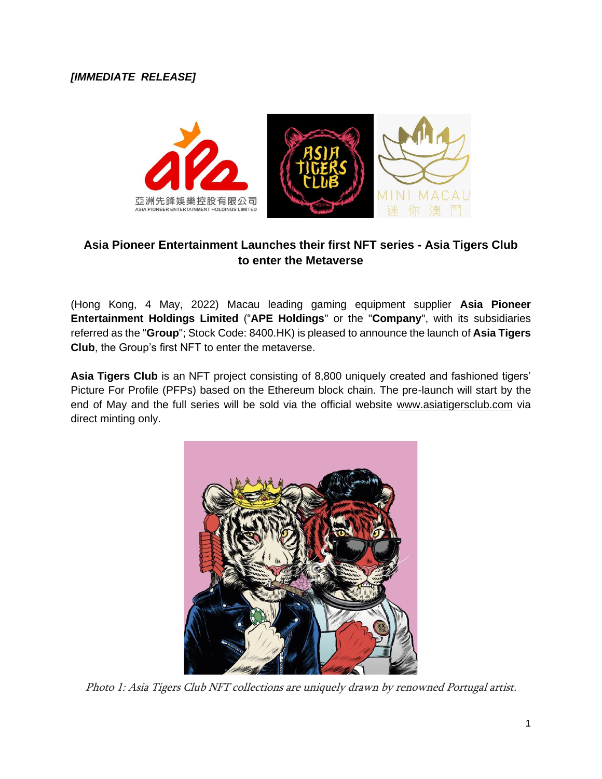

# **Asia Pioneer Entertainment Launches their first NFT series - Asia Tigers Club to enter the Metaverse**

(Hong Kong, 4 May, 2022) Macau leading gaming equipment supplier **Asia Pioneer Entertainment Holdings Limited** ("**APE Holdings**" or the "**Company**", with its subsidiaries referred as the "**Group**"; Stock Code: 8400.HK) is pleased to announce the launch of **Asia Tigers Club**, the Group's first NFT to enter the metaverse.

**Asia Tigers Club** is an NFT project consisting of 8,800 uniquely created and fashioned tigers' Picture For Profile (PFPs) based on the Ethereum block chain. The pre-launch will start by the end of May and the full series will be sold via the official website [www.asiatigersclub.com](http://www.asiatigersclub.com/) via direct minting only.



Photo 1: Asia Tigers Club NFT collections are uniquely drawn by renowned Portugal artist.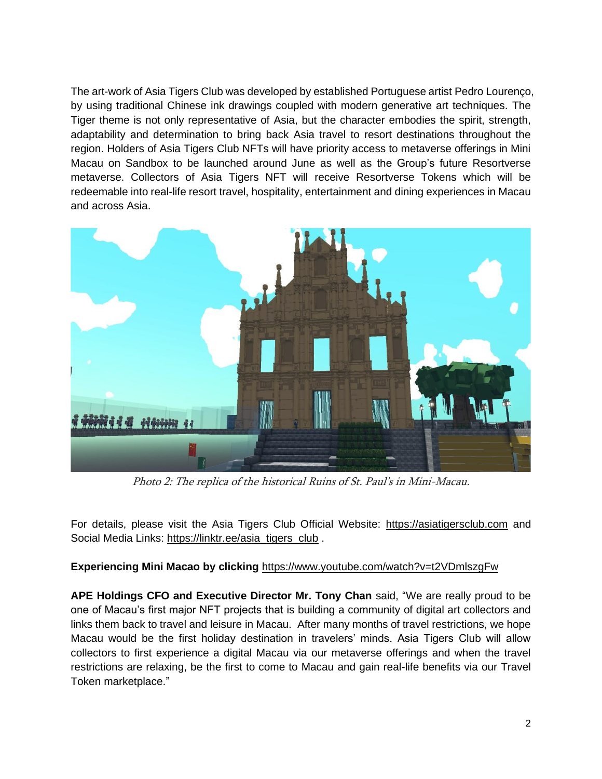The art-work of Asia Tigers Club was developed by established Portuguese artist Pedro Lourenço, by using traditional Chinese ink drawings coupled with modern generative art techniques. The Tiger theme is not only representative of Asia, but the character embodies the spirit, strength, adaptability and determination to bring back Asia travel to resort destinations throughout the region. Holders of Asia Tigers Club NFTs will have priority access to metaverse offerings in Mini Macau on Sandbox to be launched around June as well as the Group's future Resortverse metaverse. Collectors of Asia Tigers NFT will receive Resortverse Tokens which will be redeemable into real-life resort travel, hospitality, entertainment and dining experiences in Macau and across Asia.



Photo 2: The replica of the historical Ruins of St. Paul's in Mini-Macau.

For details, please visit the Asia Tigers Club Official Website: [https://asiatigersclub.com](https://asiatigersclub.com/) and Social Media Links: [https://linktr.ee/asia\\_tigers\\_club](https://linktr.ee/asia_tigers_club) .

### **Experiencing Mini Macao by clicking** <https://www.youtube.com/watch?v=t2VDmlszgFw>

**APE Holdings CFO and Executive Director Mr. Tony Chan** said, "We are really proud to be one of Macau's first major NFT projects that is building a community of digital art collectors and links them back to travel and leisure in Macau. After many months of travel restrictions, we hope Macau would be the first holiday destination in travelers' minds. Asia Tigers Club will allow collectors to first experience a digital Macau via our metaverse offerings and when the travel restrictions are relaxing, be the first to come to Macau and gain real-life benefits via our Travel Token marketplace."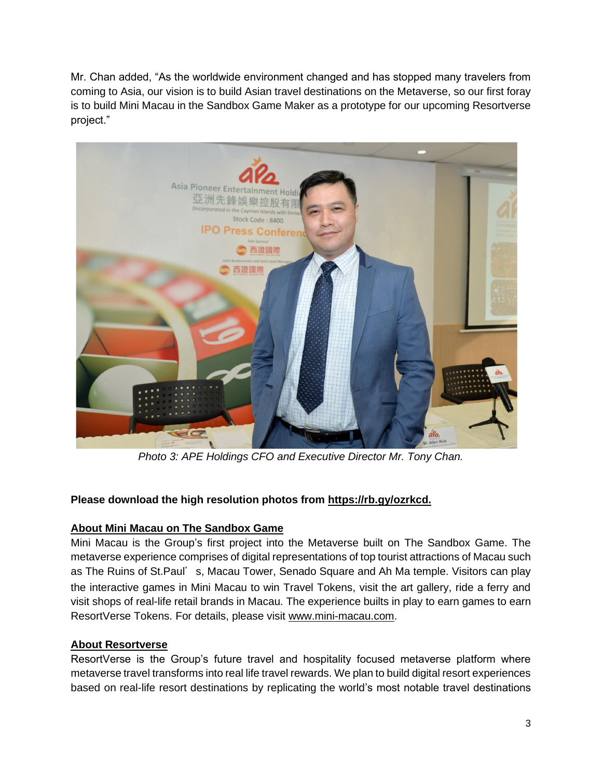Mr. Chan added, "As the worldwide environment changed and has stopped many travelers from coming to Asia, our vision is to build Asian travel destinations on the Metaverse, so our first foray is to build Mini Macau in the Sandbox Game Maker as a prototype for our upcoming Resortverse project."



*Photo 3: APE Holdings CFO and Executive Director Mr. Tony Chan.*

# **Please download the high resolution photos from [https://rb.gy/ozrkcd.](https://rb.gy/ozrkcd)**

# **About Mini Macau on The Sandbox Game**

Mini Macau is the Group's first project into the Metaverse built on The Sandbox Game. The metaverse experience comprises of digital representations of top tourist attractions of Macau such as The Ruins of St.Paul's, Macau Tower, Senado Square and Ah Ma temple. Visitors can play the interactive games in Mini Macau to win Travel Tokens, visit the art gallery, ride a ferry and visit shops of real-life retail brands in Macau. The experience builts in play to earn games to earn ResortVerse Tokens. For details, please visit [www.mini-macau.com.](http://www.mini-macau.com/)

### **About Resortverse**

ResortVerse is the Group's future travel and hospitality focused metaverse platform where metaverse travel transforms into real life travel rewards. We plan to build digital resort experiences based on real-life resort destinations by replicating the world's most notable travel destinations